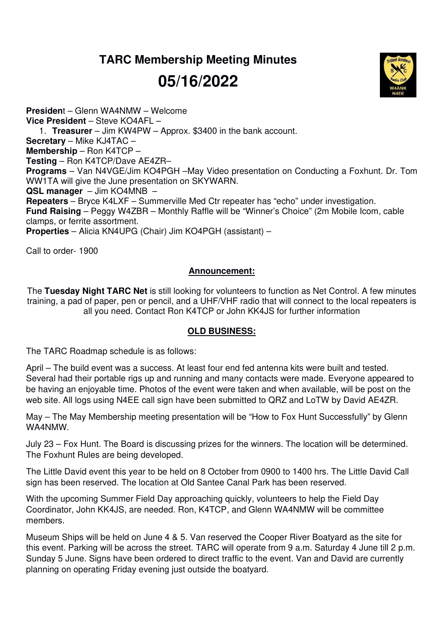## **TARC Membership Meeting Minutes**

# **05/16/2022**



**Presiden**t – Glenn WA4NMW – Welcome **Vice President** – Steve KO4AFL – 1. **Treasurer** – Jim KW4PW – Approx. \$3400 in the bank account. **Secretary** – Mike KJ4TAC – **Membership** – Ron K4TCP – **Testing** – Ron K4TCP/Dave AE4ZR– **Programs** – Van N4VGE/Jim KO4PGH –May Video presentation on Conducting a Foxhunt. Dr. Tom WW1TA will give the June presentation on SKYWARN. **QSL manager** – Jim KO4MNB – **Repeaters** – Bryce K4LXF – Summerville Med Ctr repeater has "echo" under investigation. **Fund Raising** – Peggy W4ZBR – Monthly Raffle will be "Winner's Choice" (2m Mobile Icom, cable clamps, or ferrite assortment. **Properties** – Alicia KN4UPG (Chair) Jim KO4PGH (assistant) –

Call to order- 1900

### **Announcement:**

The **Tuesday Night TARC Net** is still looking for volunteers to function as Net Control. A few minutes training, a pad of paper, pen or pencil, and a UHF/VHF radio that will connect to the local repeaters is all you need. Contact Ron K4TCP or John KK4JS for further information

### **OLD BUSINESS:**

The TARC Roadmap schedule is as follows:

April – The build event was a success. At least four end fed antenna kits were built and tested. Several had their portable rigs up and running and many contacts were made. Everyone appeared to be having an enjoyable time. Photos of the event were taken and when available, will be post on the web site. All logs using N4EE call sign have been submitted to QRZ and LoTW by David AE4ZR.

May – The May Membership meeting presentation will be "How to Fox Hunt Successfully" by Glenn WA4NMW.

July 23 – Fox Hunt. The Board is discussing prizes for the winners. The location will be determined. The Foxhunt Rules are being developed.

The Little David event this year to be held on 8 October from 0900 to 1400 hrs. The Little David Call sign has been reserved. The location at Old Santee Canal Park has been reserved.

With the upcoming Summer Field Day approaching quickly, volunteers to help the Field Day Coordinator, John KK4JS, are needed. Ron, K4TCP, and Glenn WA4NMW will be committee members.

Museum Ships will be held on June 4 & 5. Van reserved the Cooper River Boatyard as the site for this event. Parking will be across the street. TARC will operate from 9 a.m. Saturday 4 June till 2 p.m. Sunday 5 June. Signs have been ordered to direct traffic to the event. Van and David are currently planning on operating Friday evening just outside the boatyard.